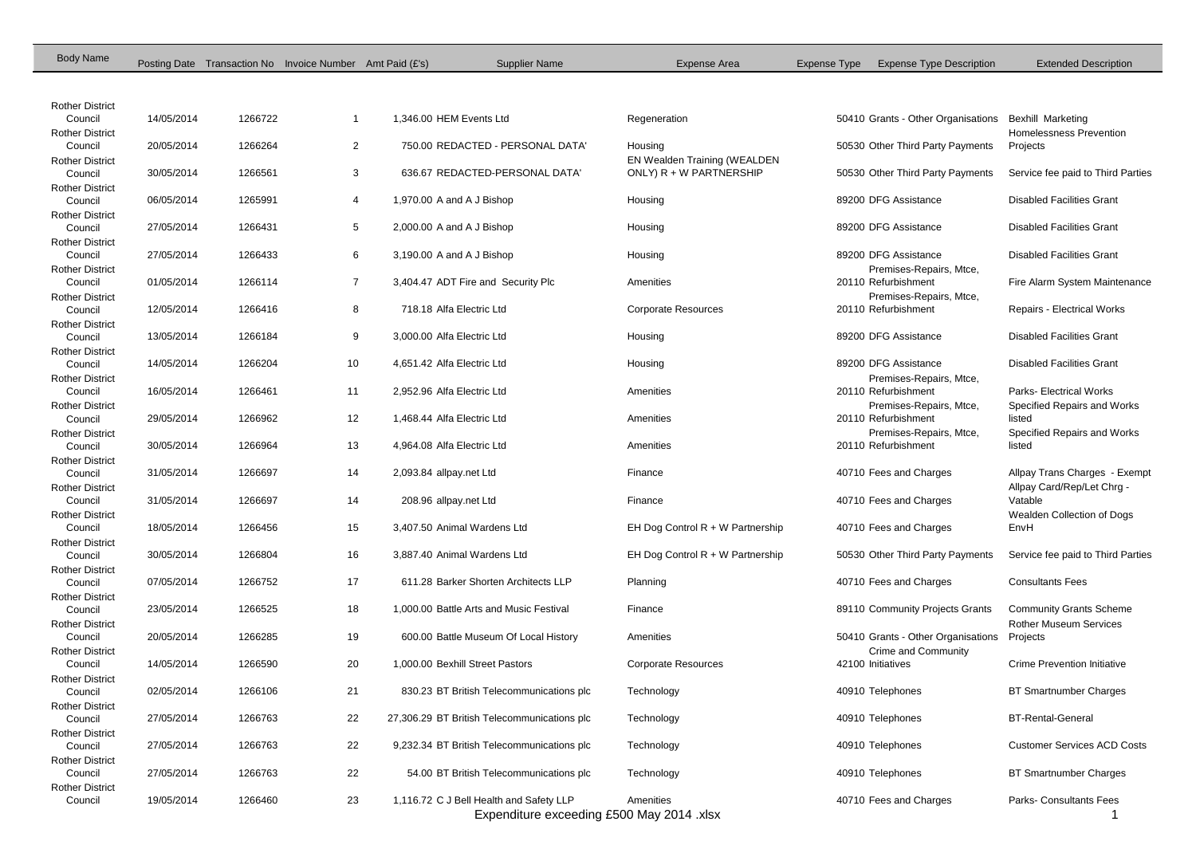| <b>Body Name</b>                  |            |         | Posting Date Transaction No Invoice Number Amt Paid (£'s) | <b>Supplier Name</b>                        | <b>Expense Area</b>                | Expense Type | <b>Expense Type Description</b>                | <b>Extended Description</b>           |
|-----------------------------------|------------|---------|-----------------------------------------------------------|---------------------------------------------|------------------------------------|--------------|------------------------------------------------|---------------------------------------|
|                                   |            |         |                                                           |                                             |                                    |              |                                                |                                       |
|                                   |            |         |                                                           |                                             |                                    |              |                                                |                                       |
| <b>Rother District</b><br>Council | 14/05/2014 | 1266722 |                                                           | 1.346.00 HEM Events Ltd                     | Regeneration                       |              | 50410 Grants - Other Organisations             | <b>Bexhill Marketing</b>              |
| <b>Rother District</b>            |            |         |                                                           |                                             |                                    |              |                                                | Homelessness Prevention               |
| Council                           | 20/05/2014 | 1266264 | $\overline{2}$                                            | 750.00 REDACTED - PERSONAL DATA'            | Housing                            |              | 50530 Other Third Party Payments               | Projects                              |
| <b>Rother District</b>            |            |         |                                                           |                                             | EN Wealden Training (WEALDEN       |              |                                                |                                       |
| Council<br><b>Rother District</b> | 30/05/2014 | 1266561 | 3                                                         | 636.67 REDACTED-PERSONAL DATA'              | ONLY) R + W PARTNERSHIP            |              | 50530 Other Third Party Payments               | Service fee paid to Third Parties     |
| Council                           | 06/05/2014 | 1265991 | $\overline{4}$                                            | 1,970.00 A and A J Bishop                   | Housing                            |              | 89200 DFG Assistance                           | <b>Disabled Facilities Grant</b>      |
| <b>Rother District</b>            |            |         |                                                           |                                             |                                    |              |                                                |                                       |
| Council                           | 27/05/2014 | 1266431 | 5                                                         | 2,000.00 A and A J Bishop                   | Housing                            |              | 89200 DFG Assistance                           | <b>Disabled Facilities Grant</b>      |
| <b>Rother District</b>            | 27/05/2014 |         |                                                           |                                             |                                    |              | 89200 DFG Assistance                           | <b>Disabled Facilities Grant</b>      |
| Council<br><b>Rother District</b> |            | 1266433 | 6                                                         | 3,190.00 A and A J Bishop                   | Housing                            |              | Premises-Repairs, Mtce,                        |                                       |
| Council                           | 01/05/2014 | 1266114 | $\overline{7}$                                            | 3,404.47 ADT Fire and Security Plc          | Amenities                          |              | 20110 Refurbishment                            | Fire Alarm System Maintenance         |
| <b>Rother District</b>            |            |         |                                                           |                                             |                                    |              | Premises-Repairs, Mtce,                        |                                       |
| Council                           | 12/05/2014 | 1266416 | 8                                                         | 718.18 Alfa Electric Ltd                    | <b>Corporate Resources</b>         |              | 20110 Refurbishment                            | Repairs - Electrical Works            |
| <b>Rother District</b>            |            |         |                                                           |                                             |                                    |              |                                                |                                       |
| Council<br><b>Rother District</b> | 13/05/2014 | 1266184 | 9                                                         | 3,000.00 Alfa Electric Ltd                  | Housing                            |              | 89200 DFG Assistance                           | <b>Disabled Facilities Grant</b>      |
| Council                           | 14/05/2014 | 1266204 | 10                                                        | 4,651.42 Alfa Electric Ltd                  | Housing                            |              | 89200 DFG Assistance                           | <b>Disabled Facilities Grant</b>      |
| <b>Rother District</b>            |            |         |                                                           |                                             |                                    |              | Premises-Repairs, Mtce,                        |                                       |
| Council                           | 16/05/2014 | 1266461 | 11                                                        | 2,952.96 Alfa Electric Ltd                  | Amenities                          |              | 20110 Refurbishment                            | <b>Parks-Electrical Works</b>         |
| <b>Rother District</b>            |            |         |                                                           |                                             |                                    |              | Premises-Repairs, Mtce,                        | Specified Repairs and Works           |
| Council<br><b>Rother District</b> | 29/05/2014 | 1266962 | 12                                                        | 1,468.44 Alfa Electric Ltd                  | Amenities                          |              | 20110 Refurbishment<br>Premises-Repairs, Mtce, | listed<br>Specified Repairs and Works |
| Council                           | 30/05/2014 | 1266964 | 13                                                        | 4,964.08 Alfa Electric Ltd                  | Amenities                          |              | 20110 Refurbishment                            | listed                                |
| <b>Rother District</b>            |            |         |                                                           |                                             |                                    |              |                                                |                                       |
| Council                           | 31/05/2014 | 1266697 | 14                                                        | 2,093.84 allpay.net Ltd                     | Finance                            |              | 40710 Fees and Charges                         | Allpay Trans Charges - Exempt         |
| <b>Rother District</b>            |            |         |                                                           |                                             |                                    |              |                                                | Allpay Card/Rep/Let Chrg -            |
| Council                           | 31/05/2014 | 1266697 | 14                                                        | 208.96 allpay.net Ltd                       | Finance                            |              | 40710 Fees and Charges                         | Vatable                               |
| <b>Rother District</b><br>Council | 18/05/2014 | 1266456 | 15                                                        | 3,407.50 Animal Wardens Ltd                 | EH Dog Control $R + W$ Partnership |              | 40710 Fees and Charges                         | Wealden Collection of Dogs<br>EnvH    |
| <b>Rother District</b>            |            |         |                                                           |                                             |                                    |              |                                                |                                       |
| Council                           | 30/05/2014 | 1266804 | 16                                                        | 3,887.40 Animal Wardens Ltd                 | EH Dog Control $R + W$ Partnership |              | 50530 Other Third Party Payments               | Service fee paid to Third Parties     |
| <b>Rother District</b>            |            |         |                                                           |                                             |                                    |              |                                                |                                       |
| Council                           | 07/05/2014 | 1266752 | 17                                                        | 611.28 Barker Shorten Architects LLP        | Planning                           |              | 40710 Fees and Charges                         | <b>Consultants Fees</b>               |
| <b>Rother District</b><br>Council | 23/05/2014 | 1266525 | 18                                                        | 1,000,00 Battle Arts and Music Festival     | Finance                            |              | 89110 Community Projects Grants                | <b>Community Grants Scheme</b>        |
| <b>Rother District</b>            |            |         |                                                           |                                             |                                    |              |                                                | <b>Rother Museum Services</b>         |
| Council                           | 20/05/2014 | 1266285 | 19                                                        | 600.00 Battle Museum Of Local History       | Amenities                          |              | 50410 Grants - Other Organisations             | Projects                              |
| <b>Rother District</b>            |            |         |                                                           |                                             |                                    |              | Crime and Community                            |                                       |
| Council                           | 14/05/2014 | 1266590 | 20                                                        | 1,000.00 Bexhill Street Pastors             | <b>Corporate Resources</b>         |              | 42100 Initiatives                              | <b>Crime Prevention Initiative</b>    |
| <b>Rother District</b><br>Council | 02/05/2014 | 1266106 | 21                                                        | 830.23 BT British Telecommunications plc    | Technology                         |              | 40910 Telephones                               | <b>BT Smartnumber Charges</b>         |
| <b>Rother District</b>            |            |         |                                                           |                                             |                                    |              |                                                |                                       |
| Council                           | 27/05/2014 | 1266763 | 22                                                        | 27,306.29 BT British Telecommunications plc | Technology                         |              | 40910 Telephones                               | <b>BT-Rental-General</b>              |
| <b>Rother District</b>            |            |         |                                                           |                                             |                                    |              |                                                |                                       |
| Council                           | 27/05/2014 | 1266763 | 22                                                        | 9,232.34 BT British Telecommunications plc  | Technology                         |              | 40910 Telephones                               | <b>Customer Services ACD Costs</b>    |
| <b>Rother District</b><br>Council | 27/05/2014 | 1266763 | 22                                                        | 54.00 BT British Telecommunications plc     | Technology                         |              | 40910 Telephones                               | <b>BT Smartnumber Charges</b>         |
| <b>Rother District</b>            |            |         |                                                           |                                             |                                    |              |                                                |                                       |
| Council                           | 19/05/2014 | 1266460 | 23                                                        | 1,116.72 C J Bell Health and Safety LLP     | Amenities                          |              | 40710 Fees and Charges                         | Parks- Consultants Fees               |
|                                   |            |         |                                                           | Expenditure exceeding £500 May 2014 .xlsx   |                                    |              |                                                |                                       |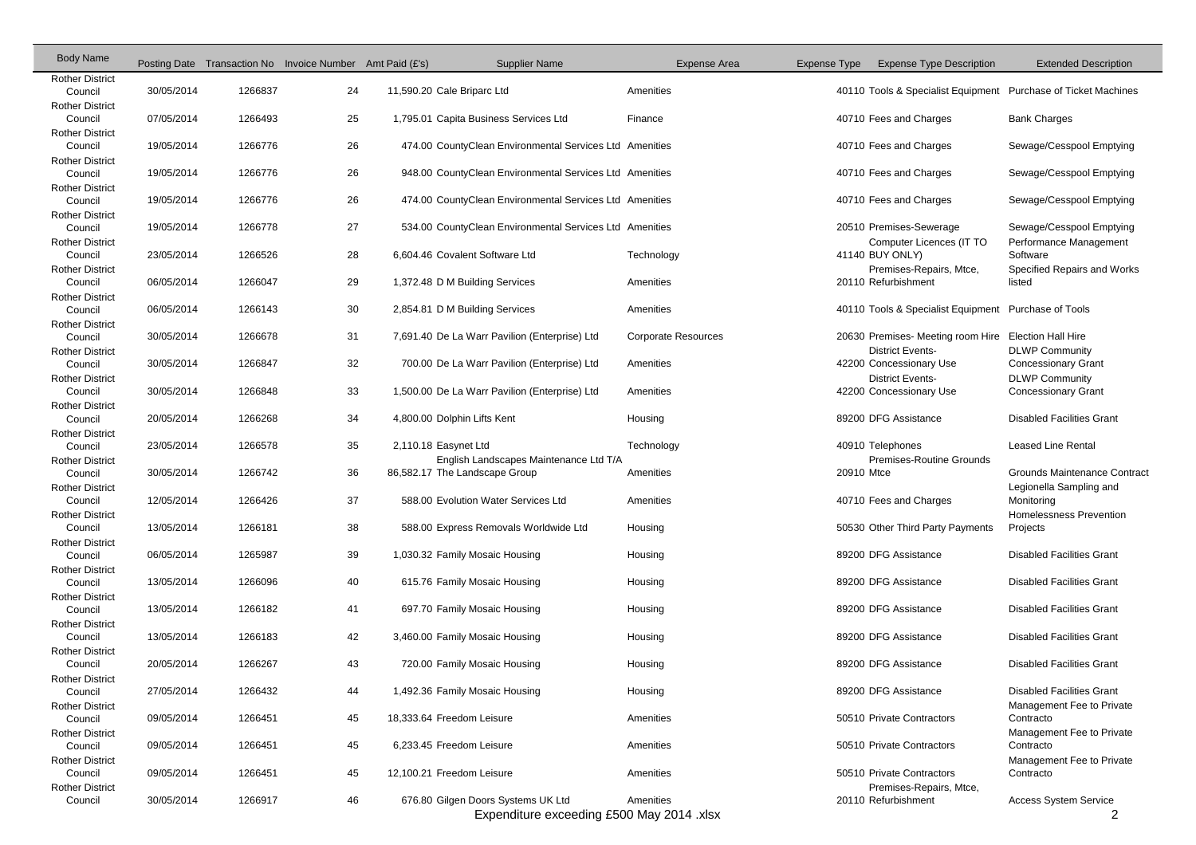| <b>Body Name</b>                  |            |         | Posting Date Transaction No Invoice Number Amt Paid (£'s) |                      | <b>Supplier Name</b>                                                    | Expense Area               | Expense Type | <b>Expense Type Description</b>                                | <b>Extended Description</b>                         |
|-----------------------------------|------------|---------|-----------------------------------------------------------|----------------------|-------------------------------------------------------------------------|----------------------------|--------------|----------------------------------------------------------------|-----------------------------------------------------|
| <b>Rother District</b><br>Council | 30/05/2014 | 1266837 | 24                                                        |                      | 11,590.20 Cale Briparc Ltd                                              | Amenities                  |              | 40110 Tools & Specialist Equipment Purchase of Ticket Machines |                                                     |
| <b>Rother District</b><br>Council | 07/05/2014 | 1266493 | 25                                                        |                      | 1,795.01 Capita Business Services Ltd                                   | Finance                    |              | 40710 Fees and Charges                                         | <b>Bank Charges</b>                                 |
| <b>Rother District</b><br>Council | 19/05/2014 | 1266776 | 26                                                        |                      | 474.00 CountyClean Environmental Services Ltd Amenities                 |                            |              | 40710 Fees and Charges                                         | Sewage/Cesspool Emptying                            |
| <b>Rother District</b><br>Council | 19/05/2014 | 1266776 | 26                                                        |                      | 948.00 CountyClean Environmental Services Ltd Amenities                 |                            |              | 40710 Fees and Charges                                         | Sewage/Cesspool Emptying                            |
| <b>Rother District</b><br>Council | 19/05/2014 | 1266776 | 26                                                        |                      | 474.00 CountyClean Environmental Services Ltd Amenities                 |                            |              | 40710 Fees and Charges                                         | Sewage/Cesspool Emptying                            |
| <b>Rother District</b><br>Council | 19/05/2014 | 1266778 | 27                                                        |                      | 534.00 CountyClean Environmental Services Ltd Amenities                 |                            |              | 20510 Premises-Sewerage                                        | Sewage/Cesspool Emptying                            |
| <b>Rother District</b><br>Council | 23/05/2014 | 1266526 | 28                                                        |                      | 6,604.46 Covalent Software Ltd                                          | Technology                 |              | Computer Licences (IT TO<br>41140 BUY ONLY)                    | Performance Management<br>Software                  |
| <b>Rother District</b><br>Council | 06/05/2014 | 1266047 | 29                                                        |                      | 1,372.48 D M Building Services                                          | Amenities                  |              | Premises-Repairs, Mtce,<br>20110 Refurbishment                 | Specified Repairs and Works<br>listed               |
| <b>Rother District</b><br>Council | 06/05/2014 | 1266143 | 30                                                        |                      | 2,854.81 D M Building Services                                          | Amenities                  |              | 40110 Tools & Specialist Equipment Purchase of Tools           |                                                     |
| <b>Rother District</b><br>Council | 30/05/2014 | 1266678 | 31                                                        |                      | 7,691.40 De La Warr Pavilion (Enterprise) Ltd                           | <b>Corporate Resources</b> |              | 20630 Premises- Meeting room Hire Election Hall Hire           |                                                     |
| <b>Rother District</b><br>Council | 30/05/2014 | 1266847 | 32                                                        |                      | 700.00 De La Warr Pavilion (Enterprise) Ltd                             | Amenities                  |              | <b>District Events-</b><br>42200 Concessionary Use             | <b>DLWP Community</b><br><b>Concessionary Grant</b> |
| <b>Rother District</b><br>Council | 30/05/2014 | 1266848 | 33                                                        |                      | 1,500.00 De La Warr Pavilion (Enterprise) Ltd                           | Amenities                  |              | <b>District Events-</b><br>42200 Concessionary Use             | <b>DLWP Community</b><br><b>Concessionary Grant</b> |
| <b>Rother District</b><br>Council | 20/05/2014 | 1266268 | 34                                                        |                      | 4,800.00 Dolphin Lifts Kent                                             | Housing                    |              | 89200 DFG Assistance                                           | <b>Disabled Facilities Grant</b>                    |
| <b>Rother District</b><br>Council | 23/05/2014 | 1266578 | 35                                                        | 2,110.18 Easynet Ltd |                                                                         | Technology                 |              | 40910 Telephones                                               | <b>Leased Line Rental</b>                           |
| <b>Rother District</b><br>Council | 30/05/2014 | 1266742 | 36                                                        |                      | English Landscapes Maintenance Ltd T/A<br>86,582.17 The Landscape Group | Amenities                  | 20910 Mtce   | Premises-Routine Grounds                                       | <b>Grounds Maintenance Contract</b>                 |
| <b>Rother District</b><br>Council | 12/05/2014 | 1266426 | 37                                                        |                      | 588.00 Evolution Water Services Ltd                                     | Amenities                  |              | 40710 Fees and Charges                                         | Legionella Sampling and<br>Monitoring               |
| <b>Rother District</b><br>Council | 13/05/2014 | 1266181 | 38                                                        |                      | 588.00 Express Removals Worldwide Ltd                                   | Housing                    |              | 50530 Other Third Party Payments                               | <b>Homelessness Prevention</b><br>Projects          |
| <b>Rother District</b><br>Council | 06/05/2014 | 1265987 | 39                                                        |                      | 1,030.32 Family Mosaic Housing                                          | Housing                    |              | 89200 DFG Assistance                                           | <b>Disabled Facilities Grant</b>                    |
| <b>Rother District</b><br>Council | 13/05/2014 | 1266096 | 40                                                        |                      | 615.76 Family Mosaic Housing                                            | Housing                    |              | 89200 DFG Assistance                                           | <b>Disabled Facilities Grant</b>                    |
| <b>Rother District</b><br>Council | 13/05/2014 | 1266182 | 41                                                        |                      | 697.70 Family Mosaic Housing                                            | Housing                    |              | 89200 DFG Assistance                                           | <b>Disabled Facilities Grant</b>                    |
| <b>Rother District</b><br>Council | 13/05/2014 | 1266183 | 42                                                        |                      | 3,460.00 Family Mosaic Housing                                          | Housing                    |              | 89200 DFG Assistance                                           | <b>Disabled Facilities Grant</b>                    |
| <b>Rother District</b><br>Council | 20/05/2014 | 1266267 | 43                                                        |                      | 720.00 Family Mosaic Housing                                            | Housing                    |              | 89200 DFG Assistance                                           | <b>Disabled Facilities Grant</b>                    |
| <b>Rother District</b><br>Council | 27/05/2014 | 1266432 | 44                                                        |                      | 1,492.36 Family Mosaic Housing                                          | Housing                    |              | 89200 DFG Assistance                                           | <b>Disabled Facilities Grant</b>                    |
| <b>Rother District</b><br>Council | 09/05/2014 | 1266451 | 45                                                        |                      | 18,333.64 Freedom Leisure                                               | Amenities                  |              | 50510 Private Contractors                                      | Management Fee to Private<br>Contracto              |
| <b>Rother District</b><br>Council | 09/05/2014 | 1266451 | 45                                                        |                      | 6,233.45 Freedom Leisure                                                | Amenities                  |              | 50510 Private Contractors                                      | Management Fee to Private<br>Contracto              |
| <b>Rother District</b><br>Council | 09/05/2014 | 1266451 | 45                                                        |                      | 12,100.21 Freedom Leisure                                               | Amenities                  |              | 50510 Private Contractors                                      | Management Fee to Private<br>Contracto              |
| <b>Rother District</b><br>Council | 30/05/2014 | 1266917 | 46                                                        |                      | 676.80 Gilgen Doors Systems UK Ltd                                      | Amenities                  |              | Premises-Repairs, Mtce,<br>20110 Refurbishment                 | <b>Access System Service</b>                        |

Expenditure exceeding £500 May 2014 .xlsx 2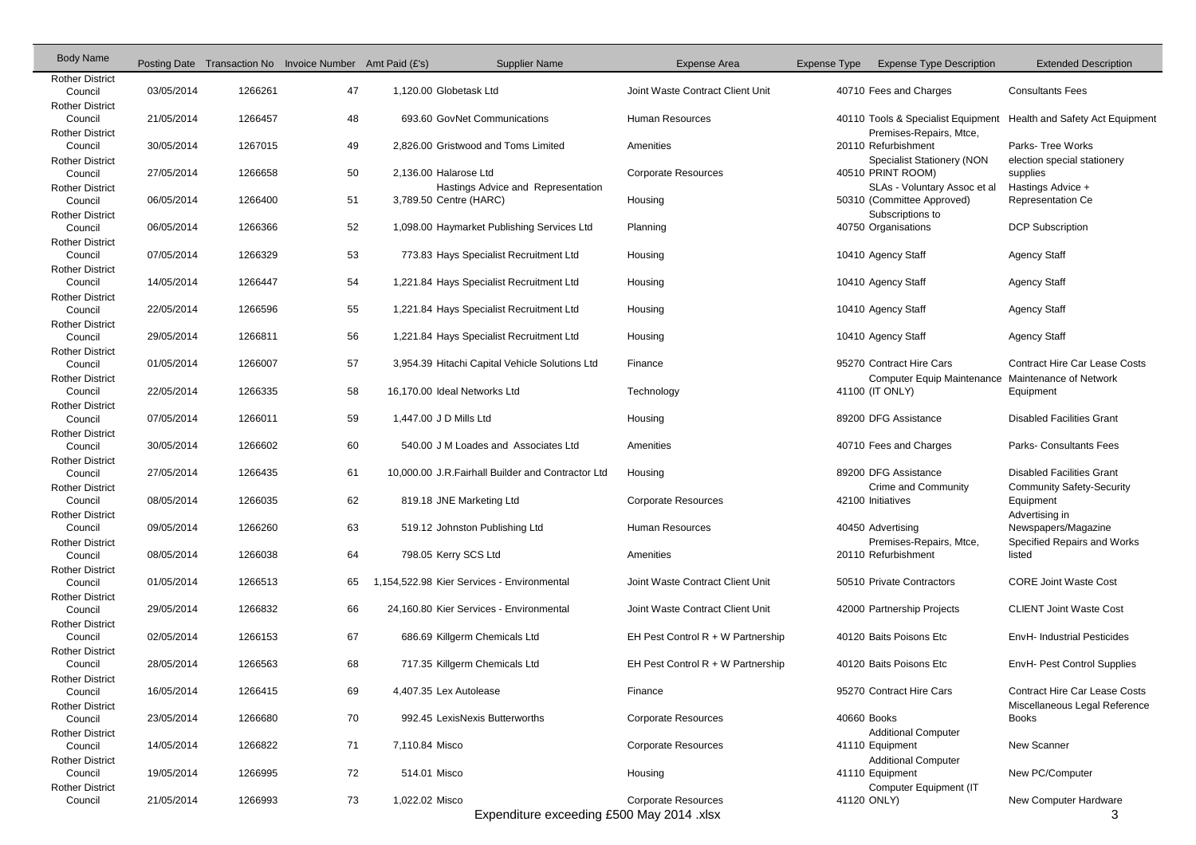| <b>Body Name</b>                  |            | Posting Date Transaction No Invoice Number Amt Paid (£'s) |    |                        | <b>Supplier Name</b>                               | Expense Area                        | Expense Type | <b>Expense Type Description</b>                   | <b>Extended Description</b>                   |
|-----------------------------------|------------|-----------------------------------------------------------|----|------------------------|----------------------------------------------------|-------------------------------------|--------------|---------------------------------------------------|-----------------------------------------------|
| <b>Rother District</b>            |            |                                                           |    |                        |                                                    |                                     |              |                                                   |                                               |
| Council                           | 03/05/2014 | 1266261                                                   | 47 |                        | 1,120.00 Globetask Ltd                             | Joint Waste Contract Client Unit    |              | 40710 Fees and Charges                            | <b>Consultants Fees</b>                       |
| <b>Rother District</b>            |            |                                                           |    |                        |                                                    |                                     |              |                                                   |                                               |
| Council                           | 21/05/2014 | 1266457                                                   | 48 |                        | 693.60 GovNet Communications                       | <b>Human Resources</b>              |              | 40110 Tools & Specialist Equipment                | Health and Safety Act Equipment               |
| <b>Rother District</b><br>Council | 30/05/2014 | 1267015                                                   | 49 |                        | 2,826.00 Gristwood and Toms Limited                | Amenities                           |              | Premises-Repairs, Mtce,<br>20110 Refurbishment    | Parks-Tree Works                              |
| <b>Rother District</b>            |            |                                                           |    |                        |                                                    |                                     |              | <b>Specialist Stationery (NON</b>                 | election special stationery                   |
| Council                           | 27/05/2014 | 1266658                                                   | 50 |                        | 2,136.00 Halarose Ltd                              | <b>Corporate Resources</b>          |              | 40510 PRINT ROOM)                                 | supplies                                      |
| <b>Rother District</b>            |            |                                                           |    |                        | Hastings Advice and Representation                 |                                     |              | SLAs - Voluntary Assoc et al                      | Hastings Advice +                             |
| Council                           | 06/05/2014 | 1266400                                                   | 51 |                        | 3,789.50 Centre (HARC)                             | Housing                             |              | 50310 (Committee Approved)                        | <b>Representation Ce</b>                      |
| <b>Rother District</b>            |            |                                                           |    |                        |                                                    |                                     |              | Subscriptions to                                  |                                               |
| Council                           | 06/05/2014 | 1266366                                                   | 52 |                        | 1,098.00 Haymarket Publishing Services Ltd         | Planning                            |              | 40750 Organisations                               | <b>DCP Subscription</b>                       |
| <b>Rother District</b>            |            |                                                           |    |                        |                                                    |                                     |              |                                                   |                                               |
| Council                           | 07/05/2014 | 1266329                                                   | 53 |                        | 773.83 Hays Specialist Recruitment Ltd             | Housing                             |              | 10410 Agency Staff                                | <b>Agency Staff</b>                           |
| <b>Rother District</b>            |            |                                                           |    |                        |                                                    |                                     |              |                                                   |                                               |
| Council                           | 14/05/2014 | 1266447                                                   | 54 |                        | 1,221.84 Hays Specialist Recruitment Ltd           | Housing                             |              | 10410 Agency Staff                                | <b>Agency Staff</b>                           |
| <b>Rother District</b>            |            |                                                           |    |                        |                                                    |                                     |              |                                                   |                                               |
| Council                           | 22/05/2014 | 1266596                                                   | 55 |                        | 1,221.84 Hays Specialist Recruitment Ltd           | Housing                             |              | 10410 Agency Staff                                | <b>Agency Staff</b>                           |
| <b>Rother District</b><br>Council | 29/05/2014 | 1266811                                                   | 56 |                        | 1,221.84 Hays Specialist Recruitment Ltd           | Housing                             |              | 10410 Agency Staff                                | <b>Agency Staff</b>                           |
| <b>Rother District</b>            |            |                                                           |    |                        |                                                    |                                     |              |                                                   |                                               |
| Council                           | 01/05/2014 | 1266007                                                   | 57 |                        | 3,954.39 Hitachi Capital Vehicle Solutions Ltd     | Finance                             |              | 95270 Contract Hire Cars                          | <b>Contract Hire Car Lease Costs</b>          |
| <b>Rother District</b>            |            |                                                           |    |                        |                                                    |                                     |              | Computer Equip Maintenance Maintenance of Network |                                               |
| Council                           | 22/05/2014 | 1266335                                                   | 58 |                        | 16,170.00 Ideal Networks Ltd                       | Technology                          |              | 41100 (IT ONLY)                                   | Equipment                                     |
| <b>Rother District</b>            |            |                                                           |    |                        |                                                    |                                     |              |                                                   |                                               |
| Council                           | 07/05/2014 | 1266011                                                   | 59 | 1,447.00 J D Mills Ltd |                                                    | Housing                             |              | 89200 DFG Assistance                              | <b>Disabled Facilities Grant</b>              |
| <b>Rother District</b>            |            |                                                           |    |                        |                                                    |                                     |              |                                                   |                                               |
| Council                           | 30/05/2014 | 1266602                                                   | 60 |                        | 540.00 J M Loades and Associates Ltd               | Amenities                           |              | 40710 Fees and Charges                            | Parks- Consultants Fees                       |
| <b>Rother District</b>            |            |                                                           |    |                        |                                                    |                                     |              |                                                   |                                               |
| Council                           | 27/05/2014 | 1266435                                                   | 61 |                        | 10,000.00 J.R. Fairhall Builder and Contractor Ltd | Housing                             |              | 89200 DFG Assistance                              | <b>Disabled Facilities Grant</b>              |
| <b>Rother District</b><br>Council | 08/05/2014 | 1266035                                                   | 62 |                        | 819.18 JNE Marketing Ltd                           | <b>Corporate Resources</b>          |              | Crime and Community<br>42100 Initiatives          | <b>Community Safety-Security</b><br>Equipment |
| <b>Rother District</b>            |            |                                                           |    |                        |                                                    |                                     |              |                                                   | Advertising in                                |
| Council                           | 09/05/2014 | 1266260                                                   | 63 |                        | 519.12 Johnston Publishing Ltd                     | <b>Human Resources</b>              |              | 40450 Advertising                                 | Newspapers/Magazine                           |
| <b>Rother District</b>            |            |                                                           |    |                        |                                                    |                                     |              | Premises-Repairs, Mtce,                           | Specified Repairs and Works                   |
| Council                           | 08/05/2014 | 1266038                                                   | 64 |                        | 798.05 Kerry SCS Ltd                               | Amenities                           |              | 20110 Refurbishment                               | listed                                        |
| <b>Rother District</b>            |            |                                                           |    |                        |                                                    |                                     |              |                                                   |                                               |
| Council                           | 01/05/2014 | 1266513                                                   | 65 |                        | 1,154,522.98 Kier Services - Environmental         | Joint Waste Contract Client Unit    |              | 50510 Private Contractors                         | <b>CORE Joint Waste Cost</b>                  |
| <b>Rother District</b>            |            |                                                           |    |                        |                                                    |                                     |              |                                                   |                                               |
| Council                           | 29/05/2014 | 1266832                                                   | 66 |                        | 24,160.80 Kier Services - Environmental            | Joint Waste Contract Client Unit    |              | 42000 Partnership Projects                        | <b>CLIENT Joint Waste Cost</b>                |
| <b>Rother District</b>            |            |                                                           |    |                        |                                                    |                                     |              |                                                   |                                               |
| Council                           | 02/05/2014 | 1266153                                                   | 67 |                        | 686.69 Killgerm Chemicals Ltd                      | EH Pest Control $R + W$ Partnership |              | 40120 Baits Poisons Etc                           | EnvH- Industrial Pesticides                   |
| <b>Rother District</b><br>Council | 28/05/2014 | 1266563                                                   | 68 |                        | 717.35 Killgerm Chemicals Ltd                      | EH Pest Control $R + W$ Partnership |              | 40120 Baits Poisons Etc                           | EnvH- Pest Control Supplies                   |
| <b>Rother District</b>            |            |                                                           |    |                        |                                                    |                                     |              |                                                   |                                               |
| Council                           | 16/05/2014 | 1266415                                                   | 69 |                        | 4,407.35 Lex Autolease                             | Finance                             |              | 95270 Contract Hire Cars                          | <b>Contract Hire Car Lease Costs</b>          |
| <b>Rother District</b>            |            |                                                           |    |                        |                                                    |                                     |              |                                                   | Miscellaneous Legal Reference                 |
| Council                           | 23/05/2014 | 1266680                                                   | 70 |                        | 992.45 LexisNexis Butterworths                     | <b>Corporate Resources</b>          |              | 40660 Books                                       | <b>Books</b>                                  |
| <b>Rother District</b>            |            |                                                           |    |                        |                                                    |                                     |              | <b>Additional Computer</b>                        |                                               |
| Council                           | 14/05/2014 | 1266822                                                   | 71 | 7,110.84 Misco         |                                                    | <b>Corporate Resources</b>          |              | 41110 Equipment                                   | New Scanner                                   |
| <b>Rother District</b>            |            |                                                           |    |                        |                                                    |                                     |              | <b>Additional Computer</b>                        |                                               |
| Council                           | 19/05/2014 | 1266995                                                   | 72 | 514.01 Misco           |                                                    | Housing                             |              | 41110 Equipment                                   | New PC/Computer                               |
| <b>Rother District</b>            |            |                                                           |    |                        |                                                    |                                     |              | Computer Equipment (IT                            |                                               |
| Council                           | 21/05/2014 | 1266993                                                   | 73 | 1,022.02 Misco         |                                                    | <b>Corporate Resources</b>          |              | 41120 ONLY)                                       | New Computer Hardware                         |

Expenditure exceeding £500 May 2014 .xlsx 3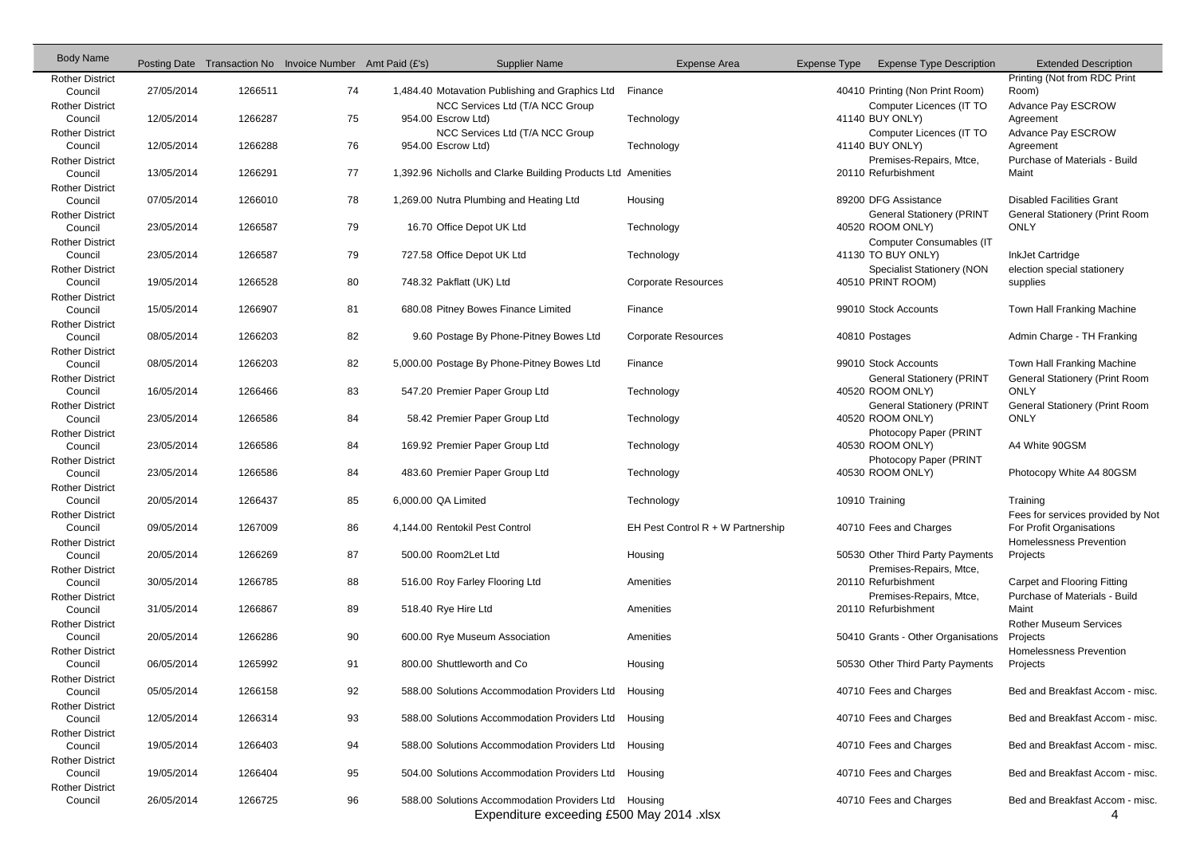| <b>Body Name</b>                  |            |         | Posting Date Transaction No Invoice Number Amt Paid (£'s) |                     | <b>Supplier Name</b>                                         | Expense Area                        | Expense Type | <b>Expense Type Description</b>    | <b>Extended Description</b>           |
|-----------------------------------|------------|---------|-----------------------------------------------------------|---------------------|--------------------------------------------------------------|-------------------------------------|--------------|------------------------------------|---------------------------------------|
| <b>Rother District</b>            |            |         |                                                           |                     |                                                              |                                     |              |                                    | Printing (Not from RDC Print          |
| Council                           | 27/05/2014 | 1266511 | 74                                                        |                     | 1,484.40 Motavation Publishing and Graphics Ltd              | Finance                             |              | 40410 Printing (Non Print Room)    | Room)                                 |
| <b>Rother District</b>            |            |         |                                                           |                     | NCC Services Ltd (T/A NCC Group                              |                                     |              | Computer Licences (IT TO           | Advance Pay ESCROW                    |
| Council                           | 12/05/2014 | 1266287 | 75                                                        |                     | 954.00 Escrow Ltd)                                           | Technology                          |              | 41140 BUY ONLY)                    | Agreement                             |
| <b>Rother District</b>            |            |         |                                                           |                     | NCC Services Ltd (T/A NCC Group                              |                                     |              | Computer Licences (IT TO           | Advance Pay ESCROW                    |
| Council                           | 12/05/2014 | 1266288 | 76                                                        |                     | 954.00 Escrow Ltd)                                           | Technology                          |              | 41140 BUY ONLY)                    | Agreement                             |
| <b>Rother District</b>            |            |         |                                                           |                     |                                                              |                                     |              | Premises-Repairs, Mtce,            | Purchase of Materials - Build         |
| Council                           | 13/05/2014 | 1266291 | 77                                                        |                     | 1,392.96 Nicholls and Clarke Building Products Ltd Amenities |                                     |              | 20110 Refurbishment                | Maint                                 |
| <b>Rother District</b>            |            |         |                                                           |                     |                                                              |                                     |              |                                    |                                       |
| Council                           | 07/05/2014 | 1266010 | 78                                                        |                     | 1,269.00 Nutra Plumbing and Heating Ltd                      | Housing                             |              | 89200 DFG Assistance               | <b>Disabled Facilities Grant</b>      |
| <b>Rother District</b>            |            |         |                                                           |                     |                                                              |                                     |              | <b>General Stationery (PRINT</b>   | <b>General Stationery (Print Room</b> |
| Council                           | 23/05/2014 | 1266587 | 79                                                        |                     | 16.70 Office Depot UK Ltd                                    | Technology                          |              | 40520 ROOM ONLY)                   | <b>ONLY</b>                           |
| <b>Rother District</b>            |            |         |                                                           |                     |                                                              |                                     |              | <b>Computer Consumables (IT</b>    |                                       |
| Council                           | 23/05/2014 | 1266587 | 79                                                        |                     | 727.58 Office Depot UK Ltd                                   | Technology                          |              | 41130 TO BUY ONLY)                 | InkJet Cartridge                      |
| <b>Rother District</b>            |            |         |                                                           |                     |                                                              |                                     |              | <b>Specialist Stationery (NON</b>  | election special stationery           |
| Council                           | 19/05/2014 | 1266528 | 80                                                        |                     | 748.32 Pakflatt (UK) Ltd                                     | <b>Corporate Resources</b>          |              | 40510 PRINT ROOM)                  | supplies                              |
| <b>Rother District</b><br>Council | 15/05/2014 | 1266907 | 81                                                        |                     | 680.08 Pitney Bowes Finance Limited                          | Finance                             |              | 99010 Stock Accounts               | Town Hall Franking Machine            |
|                                   |            |         |                                                           |                     |                                                              |                                     |              |                                    |                                       |
| <b>Rother District</b>            | 08/05/2014 | 1266203 | 82                                                        |                     | 9.60 Postage By Phone-Pitney Bowes Ltd                       | <b>Corporate Resources</b>          |              | 40810 Postages                     | Admin Charge - TH Franking            |
| Council                           |            |         |                                                           |                     |                                                              |                                     |              |                                    |                                       |
| <b>Rother District</b><br>Council | 08/05/2014 | 1266203 | 82                                                        |                     | 5,000.00 Postage By Phone-Pitney Bowes Ltd                   | Finance                             |              | 99010 Stock Accounts               | Town Hall Franking Machine            |
| <b>Rother District</b>            |            |         |                                                           |                     |                                                              |                                     |              | <b>General Stationery (PRINT</b>   | <b>General Stationery (Print Room</b> |
| Council                           | 16/05/2014 | 1266466 | 83                                                        |                     | 547.20 Premier Paper Group Ltd                               | Technology                          |              | 40520 ROOM ONLY)                   | <b>ONLY</b>                           |
| <b>Rother District</b>            |            |         |                                                           |                     |                                                              |                                     |              | <b>General Stationery (PRINT</b>   | General Stationery (Print Room        |
| Council                           | 23/05/2014 | 1266586 | 84                                                        |                     | 58.42 Premier Paper Group Ltd                                | Technology                          |              | 40520 ROOM ONLY)                   | <b>ONLY</b>                           |
| <b>Rother District</b>            |            |         |                                                           |                     |                                                              |                                     |              | Photocopy Paper (PRINT             |                                       |
| Council                           | 23/05/2014 | 1266586 | 84                                                        |                     | 169.92 Premier Paper Group Ltd                               | Technology                          |              | 40530 ROOM ONLY)                   | A4 White 90GSM                        |
| <b>Rother District</b>            |            |         |                                                           |                     |                                                              |                                     |              | Photocopy Paper (PRINT             |                                       |
| Council                           | 23/05/2014 | 1266586 | 84                                                        |                     | 483.60 Premier Paper Group Ltd                               | Technology                          |              | 40530 ROOM ONLY)                   | Photocopy White A4 80GSM              |
| <b>Rother District</b>            |            |         |                                                           |                     |                                                              |                                     |              |                                    |                                       |
| Council                           | 20/05/2014 | 1266437 | 85                                                        | 6,000.00 QA Limited |                                                              | Technology                          |              | 10910 Training                     | Training                              |
| <b>Rother District</b>            |            |         |                                                           |                     |                                                              |                                     |              |                                    | Fees for services provided by Not     |
| Council                           | 09/05/2014 | 1267009 | 86                                                        |                     | 4,144.00 Rentokil Pest Control                               | EH Pest Control $R + W$ Partnership |              | 40710 Fees and Charges             | For Profit Organisations              |
| <b>Rother District</b>            |            |         |                                                           |                     |                                                              |                                     |              |                                    | Homelessness Prevention               |
| Council                           | 20/05/2014 | 1266269 | 87                                                        |                     | 500.00 Room2Let Ltd                                          | Housing                             |              | 50530 Other Third Party Payments   | Projects                              |
| <b>Rother District</b>            |            |         |                                                           |                     |                                                              |                                     |              | Premises-Repairs, Mtce,            |                                       |
| Council                           | 30/05/2014 | 1266785 | 88                                                        |                     | 516.00 Roy Farley Flooring Ltd                               | Amenities                           |              | 20110 Refurbishment                | Carpet and Flooring Fitting           |
| <b>Rother District</b>            |            |         |                                                           |                     |                                                              |                                     |              | Premises-Repairs, Mtce,            | Purchase of Materials - Build         |
| Council                           | 31/05/2014 | 1266867 | 89                                                        |                     | 518.40 Rye Hire Ltd                                          | Amenities                           |              | 20110 Refurbishment                | Maint                                 |
| <b>Rother District</b>            |            |         |                                                           |                     |                                                              |                                     |              |                                    | <b>Rother Museum Services</b>         |
| Council                           | 20/05/2014 | 1266286 | 90                                                        |                     | 600.00 Rye Museum Association                                | Amenities                           |              | 50410 Grants - Other Organisations | Projects                              |
| <b>Rother District</b>            |            |         |                                                           |                     |                                                              |                                     |              |                                    | Homelessness Prevention               |
| Council                           | 06/05/2014 | 1265992 | 91                                                        |                     | 800.00 Shuttleworth and Co                                   | Housing                             |              | 50530 Other Third Party Payments   | Projects                              |
| <b>Rother District</b>            |            |         |                                                           |                     |                                                              |                                     |              |                                    |                                       |
| Council                           | 05/05/2014 | 1266158 | 92                                                        |                     | 588.00 Solutions Accommodation Providers Ltd                 | Housing                             |              | 40710 Fees and Charges             | Bed and Breakfast Accom - misc.       |
| <b>Rother District</b>            |            |         |                                                           |                     |                                                              |                                     |              |                                    |                                       |
| Council                           | 12/05/2014 | 1266314 | 93                                                        |                     | 588.00 Solutions Accommodation Providers Ltd                 | Housing                             |              | 40710 Fees and Charges             | Bed and Breakfast Accom - misc.       |
| <b>Rother District</b>            |            |         |                                                           |                     |                                                              |                                     |              |                                    |                                       |
| Council                           | 19/05/2014 | 1266403 | 94                                                        |                     | 588.00 Solutions Accommodation Providers Ltd Housing         |                                     |              | 40710 Fees and Charges             | Bed and Breakfast Accom - misc.       |
| <b>Rother District</b>            |            |         |                                                           |                     |                                                              |                                     |              |                                    |                                       |
| Council                           | 19/05/2014 | 1266404 | 95                                                        |                     | 504.00 Solutions Accommodation Providers Ltd                 | Housing                             |              | 40710 Fees and Charges             | Bed and Breakfast Accom - misc.       |
| <b>Rother District</b>            |            |         |                                                           |                     |                                                              |                                     |              |                                    |                                       |
| Council                           | 26/05/2014 | 1266725 | 96                                                        |                     | 588.00 Solutions Accommodation Providers Ltd Housing         |                                     |              | 40710 Fees and Charges             | Bed and Breakfast Accom - misc.       |
|                                   |            |         |                                                           |                     | Expenditure exceeding £500 May 2014 .xlsx                    |                                     |              |                                    | 4                                     |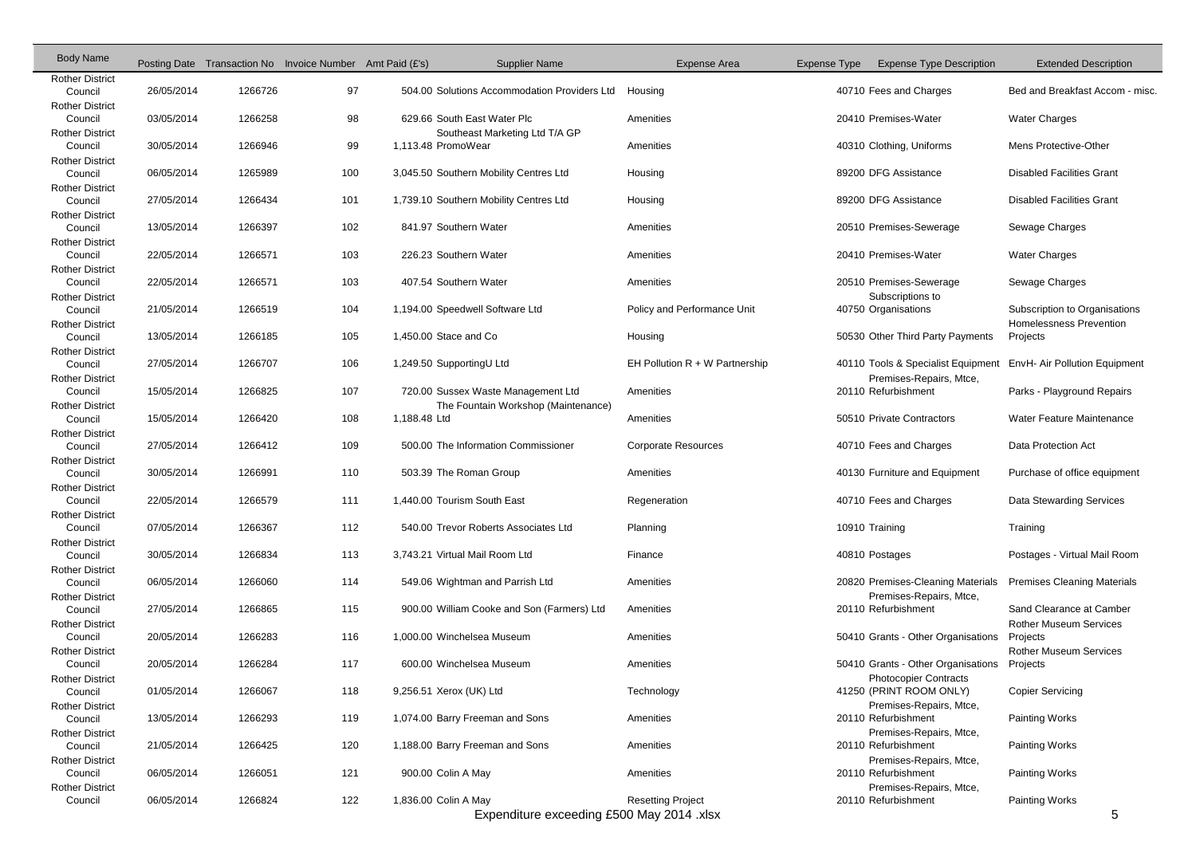| <b>Body Name</b>                  |            |         | Posting Date Transaction No Invoice Number Amt Paid (£'s) |              | <b>Supplier Name</b>                         | <b>Expense Area</b>              | Expense Type |                | <b>Expense Type Description</b>                                    | <b>Extended Description</b>                                     |
|-----------------------------------|------------|---------|-----------------------------------------------------------|--------------|----------------------------------------------|----------------------------------|--------------|----------------|--------------------------------------------------------------------|-----------------------------------------------------------------|
| <b>Rother District</b><br>Council | 26/05/2014 | 1266726 | 97                                                        |              | 504.00 Solutions Accommodation Providers Ltd | Housing                          |              |                | 40710 Fees and Charges                                             | Bed and Breakfast Accom - misc.                                 |
| <b>Rother District</b><br>Council | 03/05/2014 | 1266258 | 98                                                        |              | 629.66 South East Water Plc                  | Amenities                        |              |                | 20410 Premises-Water                                               | <b>Water Charges</b>                                            |
| <b>Rother District</b>            |            |         |                                                           |              | Southeast Marketing Ltd T/A GP               |                                  |              |                |                                                                    |                                                                 |
| Council                           | 30/05/2014 | 1266946 | 99                                                        |              | 1,113.48 PromoWear                           | Amenities                        |              |                | 40310 Clothing, Uniforms                                           | Mens Protective-Other                                           |
| <b>Rother District</b><br>Council | 06/05/2014 | 1265989 | 100                                                       |              | 3,045.50 Southern Mobility Centres Ltd       | Housing                          |              |                | 89200 DFG Assistance                                               | <b>Disabled Facilities Grant</b>                                |
| <b>Rother District</b><br>Council | 27/05/2014 | 1266434 | 101                                                       |              | 1,739.10 Southern Mobility Centres Ltd       | Housing                          |              |                | 89200 DFG Assistance                                               | <b>Disabled Facilities Grant</b>                                |
| <b>Rother District</b><br>Council | 13/05/2014 | 1266397 | 102                                                       |              | 841.97 Southern Water                        | Amenities                        |              |                | 20510 Premises-Sewerage                                            | Sewage Charges                                                  |
| <b>Rother District</b><br>Council | 22/05/2014 | 1266571 | 103                                                       |              | 226.23 Southern Water                        | Amenities                        |              |                | 20410 Premises-Water                                               | <b>Water Charges</b>                                            |
| <b>Rother District</b>            |            |         |                                                           |              |                                              |                                  |              |                |                                                                    |                                                                 |
| Council<br><b>Rother District</b> | 22/05/2014 | 1266571 | 103                                                       |              | 407.54 Southern Water                        | Amenities                        |              |                | 20510 Premises-Sewerage<br>Subscriptions to                        | Sewage Charges                                                  |
| Council<br><b>Rother District</b> | 21/05/2014 | 1266519 | 104                                                       |              | 1,194.00 Speedwell Software Ltd              | Policy and Performance Unit      |              |                | 40750 Organisations                                                | Subscription to Organisations<br><b>Homelessness Prevention</b> |
| Council                           | 13/05/2014 | 1266185 | 105                                                       |              | 1,450.00 Stace and Co                        | Housing                          |              |                | 50530 Other Third Party Payments                                   | Projects                                                        |
| <b>Rother District</b><br>Council | 27/05/2014 | 1266707 | 106                                                       |              | 1,249.50 SupportingU Ltd                     | EH Pollution $R + W$ Partnership |              |                | 40110 Tools & Specialist Equipment                                 | EnvH- Air Pollution Equipment                                   |
| <b>Rother District</b><br>Council | 15/05/2014 | 1266825 | 107                                                       |              | 720.00 Sussex Waste Management Ltd           | Amenities                        |              |                | Premises-Repairs, Mtce,<br>20110 Refurbishment                     | Parks - Playground Repairs                                      |
| <b>Rother District</b><br>Council | 15/05/2014 | 1266420 | 108                                                       | 1,188.48 Ltd | The Fountain Workshop (Maintenance)          | Amenities                        |              |                | 50510 Private Contractors                                          | Water Feature Maintenance                                       |
| <b>Rother District</b><br>Council | 27/05/2014 | 1266412 | 109                                                       |              | 500.00 The Information Commissioner          | <b>Corporate Resources</b>       |              |                | 40710 Fees and Charges                                             | Data Protection Act                                             |
| <b>Rother District</b><br>Council | 30/05/2014 | 1266991 | 110                                                       |              | 503.39 The Roman Group                       | Amenities                        |              |                | 40130 Furniture and Equipment                                      | Purchase of office equipment                                    |
| <b>Rother District</b><br>Council | 22/05/2014 | 1266579 | 111                                                       |              | 1,440.00 Tourism South East                  | Regeneration                     |              |                | 40710 Fees and Charges                                             | Data Stewarding Services                                        |
| <b>Rother District</b>            |            |         |                                                           |              |                                              |                                  |              |                |                                                                    |                                                                 |
| Council<br><b>Rother District</b> | 07/05/2014 | 1266367 | 112                                                       |              | 540.00 Trevor Roberts Associates Ltd         | Planning                         |              | 10910 Training |                                                                    | Training                                                        |
| Council                           | 30/05/2014 | 1266834 | 113                                                       |              | 3,743.21 Virtual Mail Room Ltd               | Finance                          |              |                | 40810 Postages                                                     | Postages - Virtual Mail Room                                    |
| <b>Rother District</b><br>Council | 06/05/2014 | 1266060 | 114                                                       |              | 549.06 Wightman and Parrish Ltd              | Amenities                        |              |                | 20820 Premises-Cleaning Materials                                  | <b>Premises Cleaning Materials</b>                              |
| <b>Rother District</b><br>Council | 27/05/2014 | 1266865 | 115                                                       |              | 900.00 William Cooke and Son (Farmers) Ltd   | Amenities                        |              |                | Premises-Repairs, Mtce,<br>20110 Refurbishment                     | Sand Clearance at Camber                                        |
| <b>Rother District</b><br>Council | 20/05/2014 | 1266283 | 116                                                       |              | 1,000.00 Winchelsea Museum                   | Amenities                        |              |                | 50410 Grants - Other Organisations                                 | <b>Rother Museum Services</b><br>Projects                       |
| <b>Rother District</b>            |            |         |                                                           |              |                                              |                                  |              |                |                                                                    | <b>Rother Museum Services</b>                                   |
| Council<br><b>Rother District</b> | 20/05/2014 | 1266284 | 117                                                       |              | 600.00 Winchelsea Museum                     | Amenities                        |              |                | 50410 Grants - Other Organisations<br><b>Photocopier Contracts</b> | Projects                                                        |
| Council                           | 01/05/2014 | 1266067 | 118                                                       |              | 9,256.51 Xerox (UK) Ltd                      | Technology                       |              |                | 41250 (PRINT ROOM ONLY)                                            | <b>Copier Servicing</b>                                         |
| <b>Rother District</b><br>Council | 13/05/2014 | 1266293 | 119                                                       |              | 1,074.00 Barry Freeman and Sons              | Amenities                        |              |                | Premises-Repairs, Mtce,<br>20110 Refurbishment                     | <b>Painting Works</b>                                           |
| <b>Rother District</b><br>Council | 21/05/2014 | 1266425 | 120                                                       |              | 1,188.00 Barry Freeman and Sons              | Amenities                        |              |                | Premises-Repairs, Mtce,<br>20110 Refurbishment                     | <b>Painting Works</b>                                           |
| <b>Rother District</b><br>Council | 06/05/2014 | 1266051 | 121                                                       |              | 900.00 Colin A May                           | Amenities                        |              |                | Premises-Repairs, Mtce,<br>20110 Refurbishment                     | <b>Painting Works</b>                                           |
| <b>Rother District</b><br>Council | 06/05/2014 | 1266824 | 122                                                       |              | 1,836.00 Colin A May                         | <b>Resetting Project</b>         |              |                | Premises-Repairs, Mtce,<br>20110 Refurbishment                     | <b>Painting Works</b>                                           |
|                                   |            |         |                                                           |              | Expenditure exceeding £500 May 2014 .xlsx    |                                  |              |                |                                                                    | 5                                                               |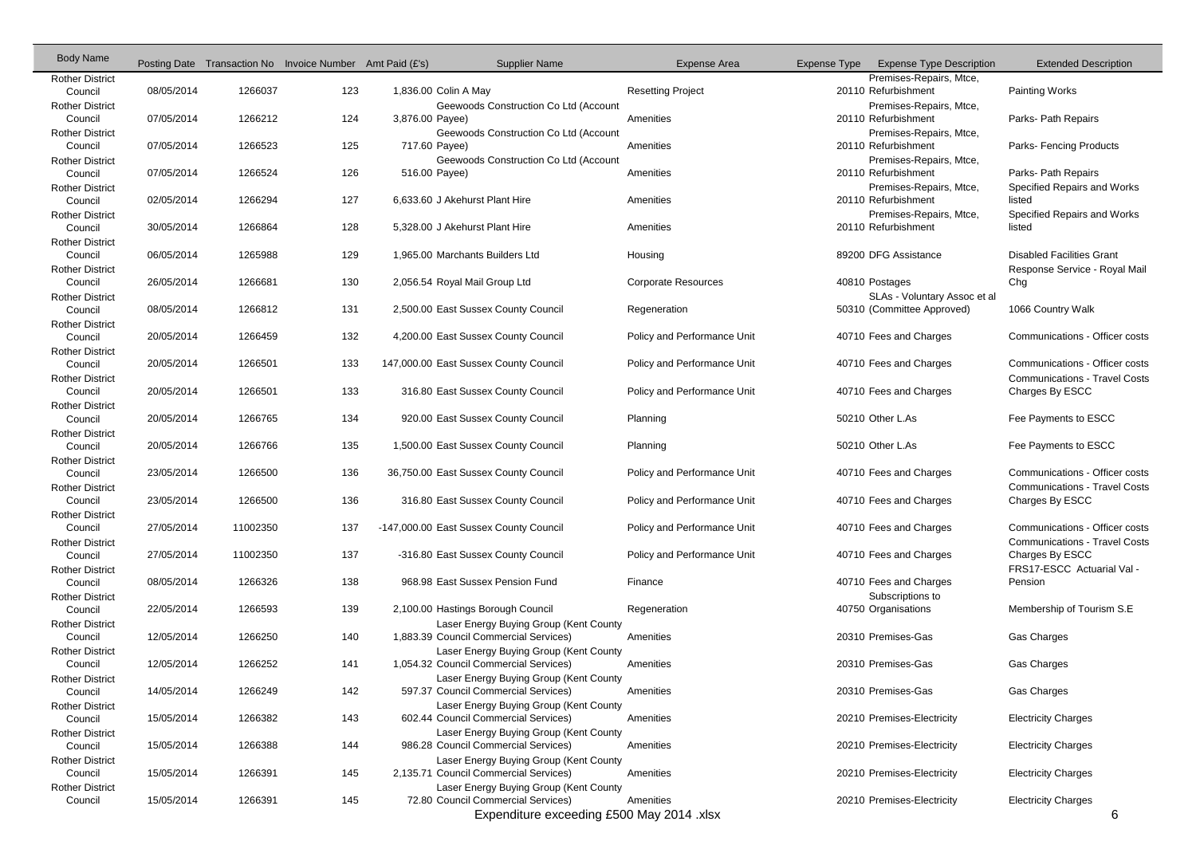| <b>Body Name</b>                  |            |          | Posting Date Transaction No Invoice Number Amt Paid (£'s) |                 | <b>Supplier Name</b>                                                            | <b>Expense Area</b>         | Expense Type | <b>Expense Type Description</b>                | <b>Extended Description</b>          |
|-----------------------------------|------------|----------|-----------------------------------------------------------|-----------------|---------------------------------------------------------------------------------|-----------------------------|--------------|------------------------------------------------|--------------------------------------|
| <b>Rother District</b>            |            |          |                                                           |                 |                                                                                 |                             |              | Premises-Repairs, Mtce,                        |                                      |
| Council                           | 08/05/2014 | 1266037  | 123                                                       |                 | 1,836.00 Colin A May<br>Geewoods Construction Co Ltd (Account                   | <b>Resetting Project</b>    |              | 20110 Refurbishment<br>Premises-Repairs, Mtce, | <b>Painting Works</b>                |
| <b>Rother District</b><br>Council | 07/05/2014 | 1266212  | 124                                                       | 3,876.00 Payee) |                                                                                 | Amenities                   |              | 20110 Refurbishment                            | Parks- Path Repairs                  |
| <b>Rother District</b>            |            |          |                                                           |                 | Geewoods Construction Co Ltd (Account                                           |                             |              | Premises-Repairs, Mtce,                        |                                      |
| Council                           | 07/05/2014 | 1266523  | 125                                                       |                 | 717.60 Payee)                                                                   | Amenities                   |              | 20110 Refurbishment                            | Parks-Fencing Products               |
| <b>Rother District</b>            |            |          |                                                           |                 | Geewoods Construction Co Ltd (Account                                           |                             |              | Premises-Repairs, Mtce,                        |                                      |
| Council                           | 07/05/2014 | 1266524  | 126                                                       | 516.00 Payee)   |                                                                                 | Amenities                   |              | 20110 Refurbishment                            | Parks- Path Repairs                  |
| <b>Rother District</b>            |            |          |                                                           |                 |                                                                                 |                             |              | Premises-Repairs, Mtce,                        | Specified Repairs and Works          |
| Council                           | 02/05/2014 | 1266294  | 127                                                       |                 | 6,633.60 J Akehurst Plant Hire                                                  | Amenities                   |              | 20110 Refurbishment                            | listed                               |
| <b>Rother District</b>            |            |          |                                                           |                 |                                                                                 |                             |              | Premises-Repairs, Mtce,                        | Specified Repairs and Works          |
| Council                           | 30/05/2014 | 1266864  | 128                                                       |                 | 5,328.00 J Akehurst Plant Hire                                                  | Amenities                   |              | 20110 Refurbishment                            | listed                               |
| <b>Rother District</b>            |            |          |                                                           |                 |                                                                                 |                             |              |                                                |                                      |
| Council                           | 06/05/2014 | 1265988  | 129                                                       |                 | 1,965.00 Marchants Builders Ltd                                                 | Housing                     |              | 89200 DFG Assistance                           | <b>Disabled Facilities Grant</b>     |
| <b>Rother District</b><br>Council | 26/05/2014 | 1266681  | 130                                                       |                 | 2,056.54 Royal Mail Group Ltd                                                   | <b>Corporate Resources</b>  |              | 40810 Postages                                 | Response Service - Royal Mail<br>Chg |
| <b>Rother District</b>            |            |          |                                                           |                 |                                                                                 |                             |              | SLAs - Voluntary Assoc et al                   |                                      |
| Council                           | 08/05/2014 | 1266812  | 131                                                       |                 | 2,500.00 East Sussex County Council                                             | Regeneration                |              | 50310 (Committee Approved)                     | 1066 Country Walk                    |
| <b>Rother District</b>            |            |          |                                                           |                 |                                                                                 |                             |              |                                                |                                      |
| Council                           | 20/05/2014 | 1266459  | 132                                                       |                 | 4,200.00 East Sussex County Council                                             | Policy and Performance Unit |              | 40710 Fees and Charges                         | Communications - Officer costs       |
| <b>Rother District</b>            |            |          |                                                           |                 |                                                                                 |                             |              |                                                |                                      |
| Council                           | 20/05/2014 | 1266501  | 133                                                       |                 | 147,000.00 East Sussex County Council                                           | Policy and Performance Unit |              | 40710 Fees and Charges                         | Communications - Officer costs       |
| <b>Rother District</b>            |            |          |                                                           |                 |                                                                                 |                             |              |                                                | <b>Communications - Travel Costs</b> |
| Council                           | 20/05/2014 | 1266501  | 133                                                       |                 | 316.80 East Sussex County Council                                               | Policy and Performance Unit |              | 40710 Fees and Charges                         | Charges By ESCC                      |
| <b>Rother District</b>            |            |          |                                                           |                 |                                                                                 |                             |              |                                                |                                      |
| Council                           | 20/05/2014 | 1266765  | 134                                                       |                 | 920.00 East Sussex County Council                                               | Planning                    |              | 50210 Other L.As                               | Fee Payments to ESCC                 |
| <b>Rother District</b>            |            |          |                                                           |                 |                                                                                 |                             |              |                                                |                                      |
| Council                           | 20/05/2014 | 1266766  | 135                                                       |                 | 1,500.00 East Sussex County Council                                             | Planning                    |              | 50210 Other L.As                               | Fee Payments to ESCC                 |
| <b>Rother District</b>            | 23/05/2014 | 1266500  | 136                                                       |                 |                                                                                 | Policy and Performance Unit |              |                                                | Communications - Officer costs       |
| Council<br><b>Rother District</b> |            |          |                                                           |                 | 36,750.00 East Sussex County Council                                            |                             |              | 40710 Fees and Charges                         | <b>Communications - Travel Costs</b> |
| Council                           | 23/05/2014 | 1266500  | 136                                                       |                 | 316.80 East Sussex County Council                                               | Policy and Performance Unit |              | 40710 Fees and Charges                         | Charges By ESCC                      |
| <b>Rother District</b>            |            |          |                                                           |                 |                                                                                 |                             |              |                                                |                                      |
| Council                           | 27/05/2014 | 11002350 | 137                                                       |                 | -147,000.00 East Sussex County Council                                          | Policy and Performance Unit |              | 40710 Fees and Charges                         | Communications - Officer costs       |
| <b>Rother District</b>            |            |          |                                                           |                 |                                                                                 |                             |              |                                                | <b>Communications - Travel Costs</b> |
| Council                           | 27/05/2014 | 11002350 | 137                                                       |                 | -316.80 East Sussex County Council                                              | Policy and Performance Unit |              | 40710 Fees and Charges                         | Charges By ESCC                      |
| <b>Rother District</b>            |            |          |                                                           |                 |                                                                                 |                             |              |                                                | FRS17-ESCC Actuarial Val -           |
| Council                           | 08/05/2014 | 1266326  | 138                                                       |                 | 968.98 East Sussex Pension Fund                                                 | Finance                     |              | 40710 Fees and Charges                         | Pension                              |
| <b>Rother District</b>            |            |          |                                                           |                 |                                                                                 |                             |              | Subscriptions to                               |                                      |
| Council                           | 22/05/2014 | 1266593  | 139                                                       |                 | 2,100.00 Hastings Borough Council                                               | Regeneration                |              | 40750 Organisations                            | Membership of Tourism S.E.           |
| <b>Rother District</b>            |            |          |                                                           |                 | Laser Energy Buying Group (Kent County                                          |                             |              |                                                |                                      |
| Council                           | 12/05/2014 | 1266250  | 140                                                       |                 | 1,883.39 Council Commercial Services)                                           | Amenities                   |              | 20310 Premises-Gas                             | <b>Gas Charges</b>                   |
| <b>Rother District</b><br>Council | 12/05/2014 | 1266252  | 141                                                       |                 | Laser Energy Buying Group (Kent County<br>1,054.32 Council Commercial Services) | Amenities                   |              | 20310 Premises-Gas                             | Gas Charges                          |
| <b>Rother District</b>            |            |          |                                                           |                 | Laser Energy Buying Group (Kent County                                          |                             |              |                                                |                                      |
| Council                           | 14/05/2014 | 1266249  | 142                                                       |                 | 597.37 Council Commercial Services)                                             | Amenities                   |              | 20310 Premises-Gas                             | Gas Charges                          |
| <b>Rother District</b>            |            |          |                                                           |                 | Laser Energy Buying Group (Kent County                                          |                             |              |                                                |                                      |
| Council                           | 15/05/2014 | 1266382  | 143                                                       |                 | 602.44 Council Commercial Services)                                             | Amenities                   |              | 20210 Premises-Electricity                     | <b>Electricity Charges</b>           |
| <b>Rother District</b>            |            |          |                                                           |                 | Laser Energy Buying Group (Kent County                                          |                             |              |                                                |                                      |
| Council                           | 15/05/2014 | 1266388  | 144                                                       |                 | 986.28 Council Commercial Services)                                             | Amenities                   |              | 20210 Premises-Electricity                     | <b>Electricity Charges</b>           |
| <b>Rother District</b>            |            |          |                                                           |                 | Laser Energy Buying Group (Kent County                                          |                             |              |                                                |                                      |
| Council                           | 15/05/2014 | 1266391  | 145                                                       |                 | 2,135.71 Council Commercial Services)                                           | Amenities                   |              | 20210 Premises-Electricity                     | <b>Electricity Charges</b>           |
| <b>Rother District</b>            |            |          |                                                           |                 | Laser Energy Buying Group (Kent County                                          |                             |              |                                                |                                      |
| Council                           | 15/05/2014 | 1266391  | 145                                                       |                 | 72.80 Council Commercial Services)                                              | Amenities                   |              | 20210 Premises-Electricity                     | <b>Electricity Charges</b>           |
|                                   |            |          |                                                           |                 | Expenditure exceeding £500 May 2014 .xlsx                                       |                             |              |                                                | 6                                    |